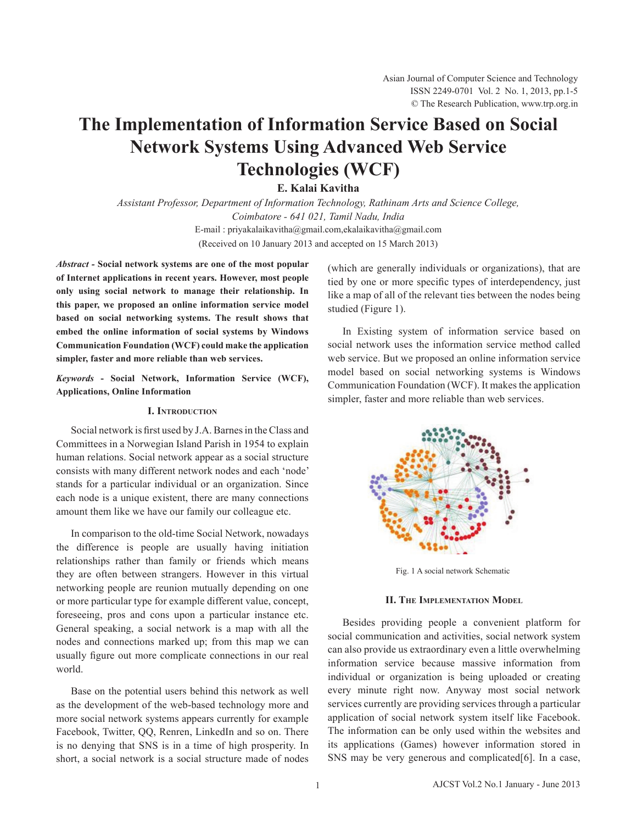# **The Implementation of Information Service Based on Social Network Systems Using Advanced Web Service Technologies (WCF)**

**E. Kalai Kavitha**

*Assistant Professor, Department of Information Technology, Rathinam Arts and Science College, Coimbatore - 641 021, Tamil Nadu, India* E-mail : priyakalaikavitha@gmail.com,ekalaikavitha@gmail.com (Received on 10 January 2013 and accepted on 15 March 2013)

*Abstract -* **Social network systems are one of the most popular of Internet applications in recent years. However, most people only using social network to manage their relationship. In this paper, we proposed an online information service model based on social networking systems. The result shows that embed the online information of social systems by Windows Communication Foundation (WCF) could make the application simpler, faster and more reliable than web services.** 

*Keywords* **- Social Network, Information Service (WCF), Applications, Online Information**

## **I. Introduction**

Social network is first used by J.A. Barnes in the Class and Committees in a Norwegian Island Parish in 1954 to explain human relations. Social network appear as a social structure consists with many different network nodes and each 'node' stands for a particular individual or an organization. Since each node is a unique existent, there are many connections amount them like we have our family our colleague etc.

In comparison to the old-time Social Network, nowadays the difference is people are usually having initiation relationships rather than family or friends which means they are often between strangers. However in this virtual networking people are reunion mutually depending on one or more particular type for example different value, concept, foreseeing, pros and cons upon a particular instance etc. General speaking, a social network is a map with all the nodes and connections marked up; from this map we can usually figure out more complicate connections in our real world.

Base on the potential users behind this network as well as the development of the web-based technology more and more social network systems appears currently for example Facebook, Twitter, QQ, Renren, LinkedIn and so on. There is no denying that SNS is in a time of high prosperity. In short, a social network is a social structure made of nodes (which are generally individuals or organizations), that are tied by one or more specific types of interdependency, just like a map of all of the relevant ties between the nodes being studied (Figure 1).

 In Existing system of information service based on social network uses the information service method called web service. But we proposed an online information service model based on social networking systems is Windows Communication Foundation (WCF). It makes the application simpler, faster and more reliable than web services.



Fig. 1 A social network Schematic

## **II. The Implementation Model**

Besides providing people a convenient platform for social communication and activities, social network system can also provide us extraordinary even a little overwhelming information service because massive information from individual or organization is being uploaded or creating every minute right now. Anyway most social network services currently are providing services through a particular application of social network system itself like Facebook. The information can be only used within the websites and its applications (Games) however information stored in SNS may be very generous and complicated [6]. In a case,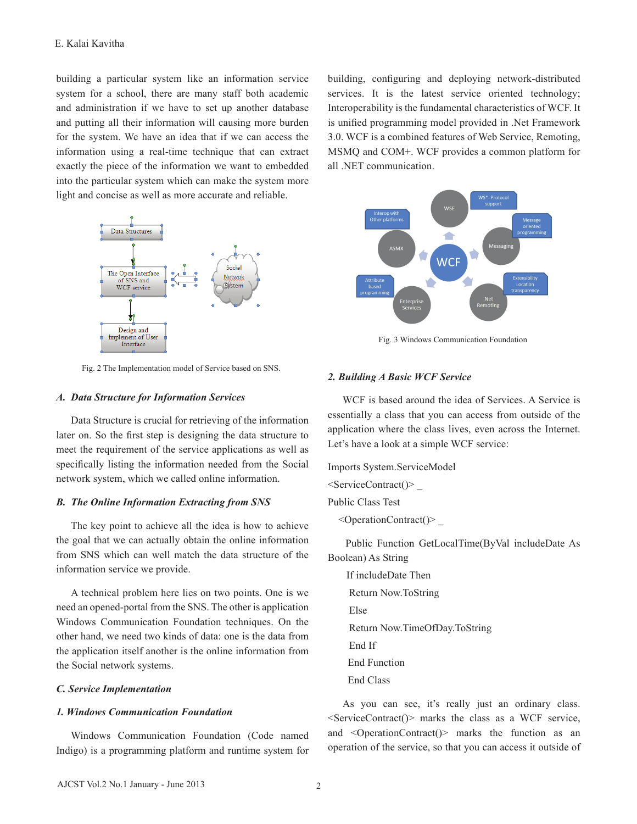building a particular system like an information service system for a school, there are many staff both academic and administration if we have to set up another database and putting all their information will causing more burden for the system. We have an idea that if we can access the information using a real-time technique that can extract exactly the piece of the information we want to embedded into the particular system which can make the system more light and concise as well as more accurate and reliable.



Fig. 2 The Implementation model of Service based on SNS.

## *A. Data Structure for Information Services*

Data Structure is crucial for retrieving of the information later on. So the first step is designing the data structure to meet the requirement of the service applications as well as specifically listing the information needed from the Social network system, which we called online information.

## *B. The Online Information Extracting from SNS*

The key point to achieve all the idea is how to achieve the goal that we can actually obtain the online information from SNS which can well match the data structure of the information service we provide.

A technical problem here lies on two points. One is we need an opened-portal from the SNS. The other is application Windows Communication Foundation techniques. On the other hand, we need two kinds of data: one is the data from the application itself another is the online information from the Social network systems.

## *C. Service Implementation*

## *1. Windows Communication Foundation*

 Windows Communication Foundation (Code named Indigo) is a programming platform and runtime system for building, configuring and deploying network-distributed services. It is the latest service oriented technology; Interoperability is the fundamental characteristics of WCF. It is unified programming model provided in .Net Framework 3.0. WCF is a combined features of Web Service, Remoting, MSMQ and COM+. WCF provides a common platform for all .NET communication.



Fig. 3 Windows Communication Foundation

## *2. Building A Basic WCF Service*

 WCF is based around the idea of Services. A Service is essentially a class that you can access from outside of the application where the class lives, even across the Internet. Let's have a look at a simple WCF service:

Imports System.ServiceModel  $\le$ ServiceContract() $>$ Public Class Test  $\leq$ OperationContract() $>$ 

 Public Function GetLocalTime(ByVal includeDate As Boolean) As String

 If includeDate Then Return Now.ToString Else Return Now.TimeOfDay.ToString End If End Function End Class

 As you can see, it's really just an ordinary class.  $\leq$ ServiceContract() $>$  marks the class as a WCF service, and <OperationContract()> marks the function as an operation of the service, so that you can access it outside of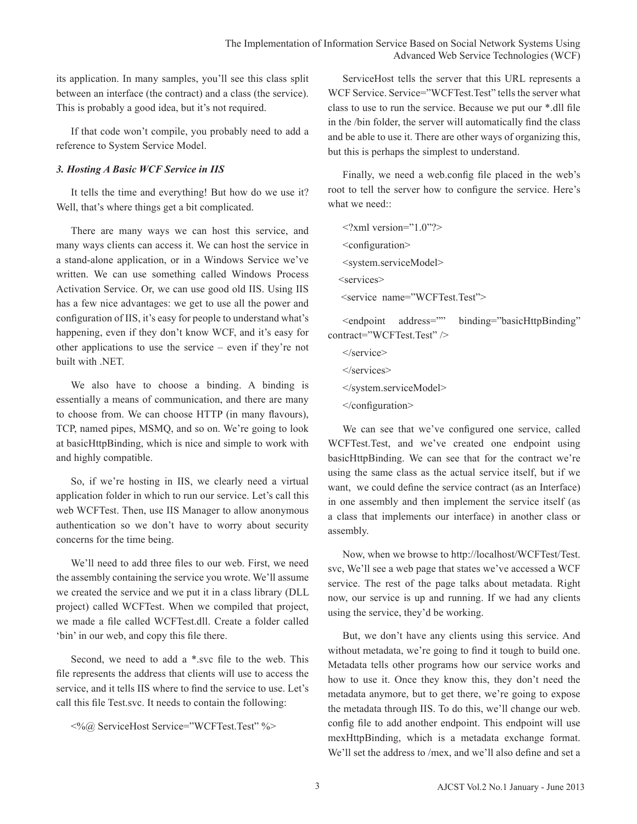its application. In many samples, you'll see this class split between an interface (the contract) and a class (the service). This is probably a good idea, but it's not required.

If that code won't compile, you probably need to add a reference to System Service Model.

# *3. Hosting A Basic WCF Service in IIS*

It tells the time and everything! But how do we use it? Well, that's where things get a bit complicated.

There are many ways we can host this service, and many ways clients can access it. We can host the service in a stand-alone application, or in a Windows Service we've written. We can use something called Windows Process Activation Service. Or, we can use good old IIS. Using IIS has a few nice advantages: we get to use all the power and configuration of IIS, it's easy for people to understand what's happening, even if they don't know WCF, and it's easy for other applications to use the service – even if they're not built with .NET.

We also have to choose a binding. A binding is essentially a means of communication, and there are many to choose from. We can choose HTTP (in many flavours), TCP, named pipes, MSMQ, and so on. We're going to look at basicHttpBinding, which is nice and simple to work with and highly compatible.

So, if we're hosting in IIS, we clearly need a virtual application folder in which to run our service. Let's call this web WCFTest. Then, use IIS Manager to allow anonymous authentication so we don't have to worry about security concerns for the time being.

 We'll need to add three files to our web. First, we need the assembly containing the service you wrote. We'll assume we created the service and we put it in a class library (DLL project) called WCFTest. When we compiled that project, we made a file called WCFTest.dll. Create a folder called 'bin' in our web, and copy this file there.

 Second, we need to add a \*.svc file to the web. This file represents the address that clients will use to access the service, and it tells IIS where to find the service to use. Let's call this file Test.svc. It needs to contain the following:

```
	 <%@ ServiceHost Service="WCFTest.Test" %>
```
ServiceHost tells the server that this URL represents a WCF Service. Service="WCFTest.Test" tells the server what class to use to run the service. Because we put our \*.dll file in the /bin folder, the server will automatically find the class and be able to use it. There are other ways of organizing this, but this is perhaps the simplest to understand.

 Finally, we need a web.config file placed in the web's root to tell the server how to configure the service. Here's what we need<sup>..</sup>

 $\langle$  <?xml version="1.0"?> <configuration> <system.serviceModel> <services> <service name="WCFTest.Test">

<endpoint address="" binding="basicHttpBinding" contract="WCFTest.Test" />

 </service>

- </system.serviceModel>
- </configuration>

 We can see that we've configured one service, called WCFTest.Test, and we've created one endpoint using basicHttpBinding. We can see that for the contract we're using the same class as the actual service itself, but if we want, we could define the service contract (as an Interface) in one assembly and then implement the service itself (as a class that implements our interface) in another class or assembly.

 Now, when we browse to http://localhost/WCFTest/Test. svc, We'll see a web page that states we've accessed a WCF service. The rest of the page talks about metadata. Right now, our service is up and running. If we had any clients using the service, they'd be working.

But, we don't have any clients using this service. And without metadata, we're going to find it tough to build one. Metadata tells other programs how our service works and how to use it. Once they know this, they don't need the metadata anymore, but to get there, we're going to expose the metadata through IIS. To do this, we'll change our web. config file to add another endpoint. This endpoint will use mexHttpBinding, which is a metadata exchange format. We'll set the address to /mex, and we'll also define and set a

 $\le$ /services>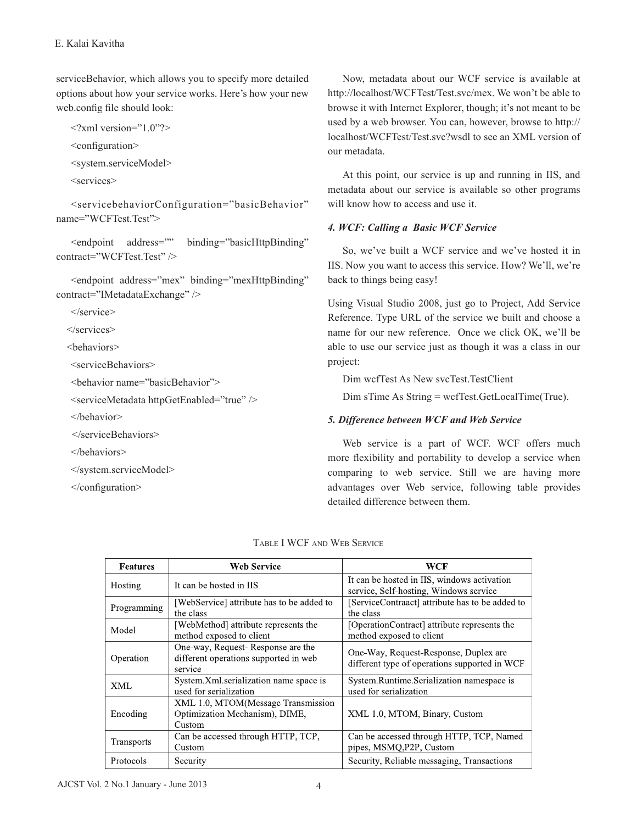serviceBehavior, which allows you to specify more detailed options about how your service works. Here's how your new web.config file should look:

```
\langle 2xml version="1.0"?>
```
 <configuration>

 <system.serviceModel>

 <services>

 <servicebehaviorConfiguration="basicBehavior" name="WCFTest.Test">

<endpoint address="" binding="basicHttpBinding" contract="WCFTest.Test" />

 <endpoint address="mex" binding="mexHttpBinding" contract="IMetadataExchange" />

 </service>

</services>

<behaviors>

 <serviceBehaviors>

 <behavior name="basicBehavior">

 <serviceMetadata httpGetEnabled="true" />

 </behavior>

</serviceBehaviors>

 </behaviors>

 </system.serviceModel>

 </configuration>

 Now, metadata about our WCF service is available at http://localhost/WCFTest/Test.svc/mex. We won't be able to browse it with Internet Explorer, though; it's not meant to be used by a web browser. You can, however, browse to http:// localhost/WCFTest/Test.svc?wsdl to see an XML version of our metadata.

At this point, our service is up and running in IIS, and metadata about our service is available so other programs will know how to access and use it.

## *4. WCF: Calling a Basic WCF Service*

 So, we've built a WCF service and we've hosted it in IIS. Now you want to access this service. How? We'll, we're back to things being easy!

Using Visual Studio 2008, just go to Project, Add Service Reference. Type URL of the service we built and choose a name for our new reference. Once we click OK, we'll be able to use our service just as though it was a class in our project:

 Dim wcfTest As New svcTest.TestClient

Dim sTime As String = wcfTest.GetLocalTime(True).

## *5. Difference between WCF and Web Service*

Web service is a part of WCF. WCF offers much more flexibility and portability to develop a service when comparing to web service. Still we are having more advantages over Web service, following table provides detailed difference between them.

| <b>Features</b>   | <b>Web Service</b>                                                                    | WCF                                                                                    |  |
|-------------------|---------------------------------------------------------------------------------------|----------------------------------------------------------------------------------------|--|
| Hosting           | It can be hosted in IIS                                                               | It can be hosted in IIS, windows activation<br>service, Self-hosting, Windows service  |  |
| Programming       | [WebService] attribute has to be added to<br>the class                                | [ServiceContraact] attribute has to be added to<br>the class                           |  |
| Model             | [WebMethod] attribute represents the<br>method exposed to client                      | [OperationContract] attribute represents the<br>method exposed to client               |  |
| Operation         | One-way, Request-Response are the<br>different operations supported in web<br>service | One-Way, Request-Response, Duplex are<br>different type of operations supported in WCF |  |
| <b>XML</b>        | System.Xml.serialization name space is<br>used for serialization                      | System.Runtime.Serialization namespace is<br>used for serialization                    |  |
| Encoding          | XML 1.0, MTOM(Message Transmission<br>Optimization Mechanism), DIME,<br>Custom        | XML 1.0, MTOM, Binary, Custom                                                          |  |
| <b>Transports</b> | Can be accessed through HTTP, TCP,<br>Custom                                          | Can be accessed through HTTP, TCP, Named<br>pipes, MSMQ, P2P, Custom                   |  |
| Protocols         | Security                                                                              | Security, Reliable messaging, Transactions                                             |  |

| TABLE I WCF AND WEB SERVICE |  |  |
|-----------------------------|--|--|
|-----------------------------|--|--|